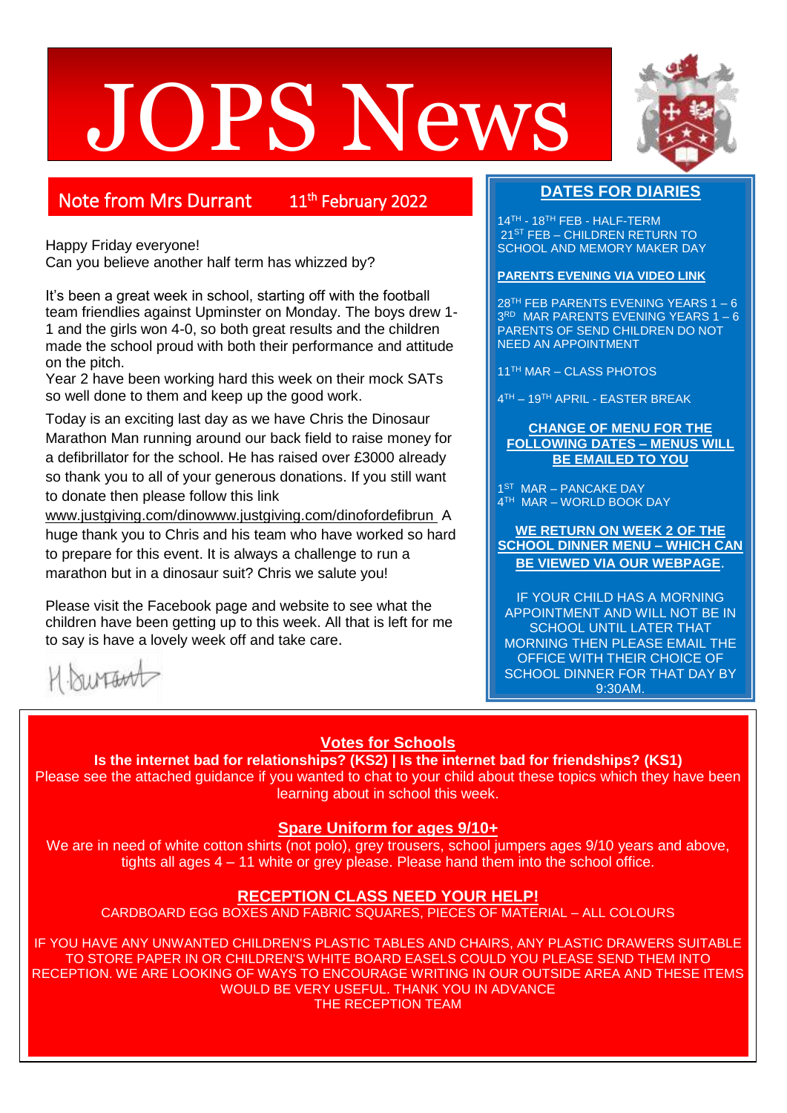# JOPS News



# Note from Mrs Durrant

11<sup>th</sup> February 2022

Happy Friday everyone!

Can you believe another half term has whizzed by?

It's been a great week in school, starting off with the football team friendlies against Upminster on Monday. The boys drew 1- 1 and the girls won 4-0, so both great results and the children made the school proud with both their performance and attitude on the pitch.

Year 2 have been working hard this week on their mock SATs so well done to them and keep up the good work.

Today is an exciting last day as we have Chris the Dinosaur Marathon Man running around our back field to raise money for a defibrillator for the school. He has raised over £3000 already so thank you to all of your generous donations. If you still want to donate then please follow this link

www.justgiving.com/din[owww.justgiving.com/dinofordefibrun](http://www.justgiving.com/dinofordefibrun) A huge thank you to Chris and his team who have worked so hard to prepare for this event. It is always a challenge to run a marathon but in a dinosaur suit? Chris we salute you!

Please visit the Facebook page and website to see what the children have been getting up to this week. All that is left for me to say is have a lovely week off and take care.

H. burtant

# **DATES FOR DIARIES**

14<sup>TH</sup> - 18<sup>TH</sup> FEB - HALF-TERM 21ST FEB – CHILDREN RETURN TO SCHOOL AND MEMORY MAKER DAY

## **PARENTS EVENING VIA VIDEO LINK**

 $28<sup>TH</sup>$  FEB PARENTS EVENING YEARS 1 – 6 3 RD MAR PARENTS EVENING YEARS 1 – 6 PARENTS OF SEND CHILDREN DO NOT NEED AN APPOINTMENT

11TH MAR – CLASS PHOTOS

4 TH – 19TH APRIL - EASTER BREAK

### **CHANGE OF MENU FOR THE FOLLOWING DATES – MENUS WILL BE EMAILED TO YOU**

1<sup>ST</sup> MAR - PANCAKE DAY 4 TH MAR – WORLD BOOK DAY

**WE RETURN ON WEEK 2 OF THE SCHOOL DINNER MENU – WHICH CAN BE VIEWED VIA OUR WEBPAGE**.

IF YOUR CHILD HAS A MORNING APPOINTMENT AND WILL NOT BE IN SCHOOL UNTIL LATER THAT MORNING THEN PLEASE EMAIL THE OFFICE WITH THEIR CHOICE OF SCHOOL DINNER FOR THAT DAY BY 9:30AM.

# **Votes for Schools**

**Is the internet bad for relationships? (KS2) | Is the internet bad for friendships? (KS1)**

Please see the attached guidance if you wanted to chat to your child about these topics which they have been learning about in school this week.

# **Spare Uniform for ages 9/10+**

We are in need of white cotton shirts (not polo), grey trousers, school jumpers ages 9/10 years and above, tights all ages 4 – 11 white or grey please. Please hand them into the school office.

# **RECEPTION CLASS NEED YOUR HELP!**

CARDBOARD EGG BOXES AND FABRIC SQUARES, PIECES OF MATERIAL – ALL COLOURS

IF YOU HAVE ANY UNWANTED CHILDREN'S PLASTIC TABLES AND CHAIRS, ANY PLASTIC DRAWERS SUITABLE TO STORE PAPER IN OR CHILDREN'S WHITE BOARD EASELS COULD YOU PLEASE SEND THEM INTO RECEPTION. WE ARE LOOKING OF WAYS TO ENCOURAGE WRITING IN OUR OUTSIDE AREA AND THESE ITEMS WOULD BE VERY USEFUL. THANK YOU IN ADVANCE THE RECEPTION TEAM